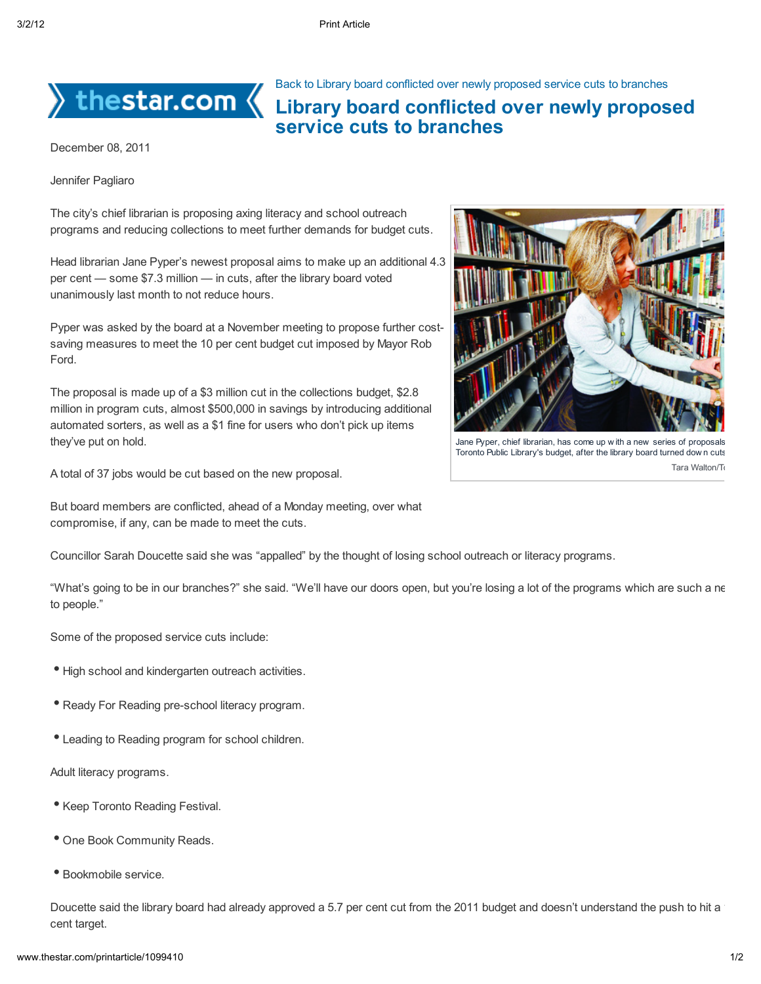

 $\rangle$  thestar.com  $\langle$ 

Back to Library board conflicted over newly proposed service cuts to branches

## Library board conflicted over newly proposed service cuts to branches

December 08, 2011

Jennifer Pagliaro

The city's chief librarian is proposing axing literacy and school outreach programs and reducing collections to meet further demands for budget cuts.

Head librarian Jane Pyper's newest proposal aims to make up an additional 4.3 per cent — some \$7.3 million — in cuts, after the library board voted unanimously last month to not reduce hours.

Pyper was asked by the board at a November meeting to propose further costsaving measures to meet the 10 per cent budget cut imposed by Mayor Rob Ford.

The proposal is made up of a \$3 million cut in the collections budget, \$2.8 million in program cuts, almost \$500,000 in savings by introducing additional automated sorters, as well as a \$1 fine for users who don't pick up items they've put on hold.

A total of 37 jobs would be cut based on the new proposal.

But board members are conflicted, ahead of a Monday meeting, over what compromise, if any, can be made to meet the cuts.



"What's going to be in our branches?" she said. "We'll have our doors open, but you're losing a lot of the programs which are such a ne to people."

Some of the proposed service cuts include:

- High school and kindergarten outreach activities.
- Ready For Reading pre-school literacy program.
- Leading to Reading program for school children.

Adult literacy programs.

- Keep Toronto Reading Festival.
- One Book Community Reads.
- Bookmobile service.

Doucette said the library board had already approved a 5.7 per cent cut from the 2011 budget and doesn't understand the push to hit a cent target.



Jane Pyper, chief librarian, has come up w ith a new series of proposals Toronto Public Library's budget, after the library board turned down cuts Tara Walton/To